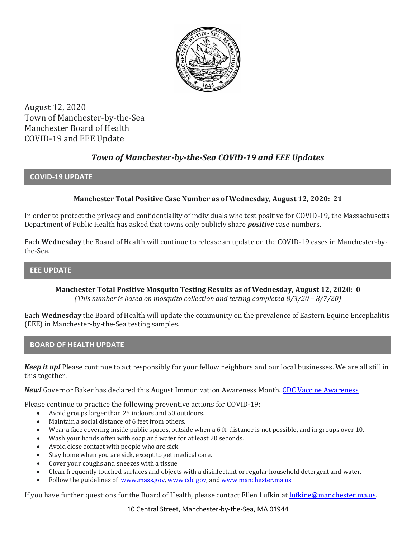

August 12, 2020 Town of Manchester-by-the-Sea Manchester Board of Health COVID-19 and EEE Update

# *Town of Manchester-by-the-Sea COVID-19 and EEE Updates*

### **COVID-19 UPDATE**

## **Manchester Total Positive Case Number as of Wednesday, August 12, 2020: 21**

In order to protect the privacy and confidentiality of individuals who test positive for COVID-19, the Massachusetts Department of Public Health has asked that towns only publicly share *positive* case numbers.

Each **Wednesday** the Board of Health will continue to release an update on the COVID-19 cases in Manchester-bythe-Sea.

## **EEE UPDATE**

**Manchester Total Positive Mosquito Testing Results as of Wednesday, August 12, 2020: 0** *(This number is based on mosquito collection and testing completed 8/3/20 – 8/7/20)*

Each **Wednesday** the Board of Health will update the community on the prevalence of Eastern Equine Encephalitis (EEE) in Manchester-by-the-Sea testing samples.

#### **BOARD OF HEALTH UPDATE**

*Keep it up!* Please continue to act responsibly for your fellow neighbors and our local businesses. We are all still in this together.

*New!* Governor Baker has declared this August Immunization Awareness Month[. CDC Vaccine Awareness](https://www.cdc.gov/vaccines/schedules/parents-adults/resources-adults.html)

Please continue to practice the following preventive actions for COVID-19:

- Avoid groups larger than 25 indoors and 50 outdoors.
- Maintain a social distance of 6 feet from others.
- Wear a face covering inside public spaces, outside when a 6 ft. distance is not possible, and in groups over 10.
- Wash your hands often with soap and water for at least 20 seconds.
- Avoid close contact with people who are sick.
- Stay home when you are sick, except to get medical care.
- Cover your coughs and sneezes with a tissue.
- Clean frequently touched surfaces and objects with a disinfectant or regular household detergent and water.
- Follow the guidelines of [www.mass.gov,](https://www.mass.gov/) [www.cdc.gov,](https://www.cdc.gov/) an[d www.manchester.ma.us](http://www.manchester.ma.us/)

If you have further questions for the Board of Health, please contact Ellen Lufkin at <u>lufkine@manchester.ma.us</u>.

10 Central Street, Manchester-by-the-Sea, MA 01944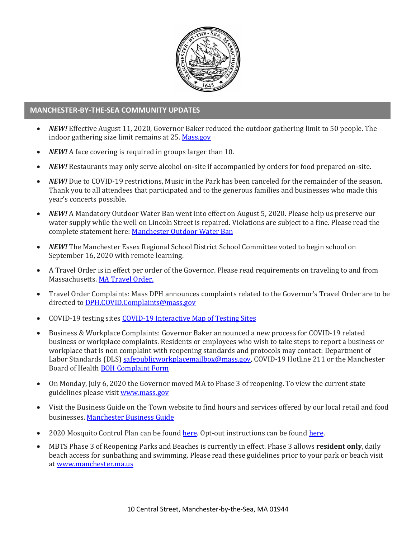

#### **MANCHESTER-BY-THE-SEA COMMUNITY UPDATES**

- *NEW!* Effective August 11, 2020, Governor Baker reduced the outdoor gathering limit to 50 people. The indoor gathering size limit remains at 25[. Mass.gov](https://www.mass.gov/news/baker-polito-administration-announces-new-initiatives-to-stop-spread-of-covid-19)
- *NEW!* A face covering is required in groups larger than 10.
- *NEW!* Restaurants may only serve alcohol on-site if accompanied by orders for food prepared on-site.
- *NEW!* Due to COVID-19 restrictions, Music in the Park has been canceled for the remainder of the season. Thank you to all attendees that participated and to the generous families and businesses who made this year's concerts possible.
- *NEW!* A Mandatory Outdoor Water Ban went into effect on August 5, 2020. Please help us preserve our water supply while the well on Lincoln Street is repaired. Violations are subject to a fine. Please read the complete statement here: [Manchester Outdoor Water Ban](http://manchester.ma.us/DocumentCenter/View/3307/MBTS-water-ban-August-2020)
- *NEW!* The Manchester Essex Regional School District School Committee voted to begin school on September 16, 2020 with remote learning.
- A Travel Order is in effect per order of the Governor. Please read requirements on traveling to and from Massachusetts. [MA Travel Order.](https://www.mass.gov/info-details/covid-19-travel-order)
- Travel Order Complaints: Mass DPH announces complaints related to the Governor's Travel Order are to be directed t[o DPH.COVID.Complaints@mass.gov](mailto:DPH.COVID.Complaints@mass.gov)
- COVID-19 testing site[s COVID-19 Interactive](https://memamaps.maps.arcgis.com/apps/webappviewer/index.html?id=eba3f0395451430b9f631cb095febf13) Map of Testing Sites
- Business & Workplace Complaints: Governor Baker announced a new process for COVID-19 related business or workplace complaints. Residents or employees who wish to take steps to report a business or workplace that is non complaint with reopening standards and protocols may contact: Department of Labor Standards (DLS[\) safepublicworkplacemailbox@mass.gov,](mailto:safepublicworkplacemailbox@mass.gov) COVID-19 Hotline 211 or the Manchester Board of Health [BOH Complaint Form](http://manchester.ma.us/DocumentCenter/View/3282/Board-of-Health-Complaint-Form-2020)
- On Monday, July 6, 2020 the Governor moved MA to Phase 3 of reopening. To view the current state guidelines please visi[t www.mass.gov](http://www.mass.gov/)
- Visit the Business Guide on the Town website to find hours and services offered by our local retail and food businesses[. Manchester Business Guide](http://manchester.ma.us/728/Business)
- 2020 Mosquito Control Plan can be found [here.](http://manchester.ma.us/DocumentCenter/View/3214/2020-Process-To-Exclude-Property-From-Mosquito-Spraying) Opt-out instructions can be found here.
- MBTS Phase 3 of Reopening Parks and Beaches is currently in effect. Phase 3 allows **resident only**, daily beach access for sunbathing and swimming. Please read these guidelines prior to your park or beach visit a[t www.manchester.ma.us](http://manchester.ma.us/)